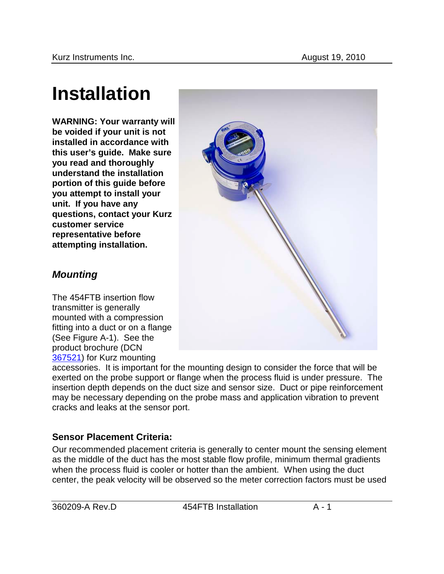# **Installation**

**WARNING: Your warranty will be voided if your unit is not installed in accordance with this user's guide. Make sure you read and thoroughly understand the installation portion of this guide before you attempt to install your unit. If you have any questions, contact your Kurz customer service representative before attempting installation.** 



The 454FTB insertion flow transmitter is generally mounted with a compression fitting into a duct or on a flange (See Figure A-1). See the product brochure (DCN 367521) for Kurz mounting

accessories. It is important for the mounting design to consider the force that will be exerted on the probe support or flange when the process fluid is under pressure. The insertion depth depends on the duct size and sensor size. Duct or pipe reinforcement may be necessary depending on the probe mass and application vibration to prevent cracks and leaks at the sensor port.

# **Sensor Placement Criteria:**

Our recommended placement criteria is generally to center mount the sensing element as the middle of the duct has the most stable flow profile, minimum thermal gradients when the process fluid is cooler or hotter than the ambient. When using the duct center, the peak velocity will be observed so the meter correction factors must be used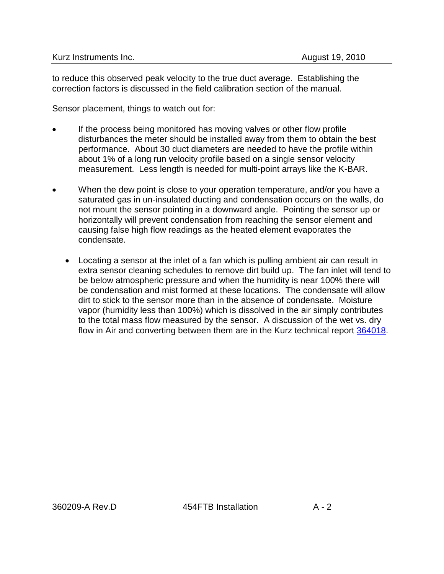to reduce this observed peak velocity to the true duct average. Establishing the correction factors is discussed in the field calibration section of the manual.

Sensor placement, things to watch out for:

- If the process being monitored has moving valves or other flow profile disturbances the meter should be installed away from them to obtain the best performance. About 30 duct diameters are needed to have the profile within about 1% of a long run velocity profile based on a single sensor velocity measurement. Less length is needed for multi-point arrays like the K-BAR.
- When the dew point is close to your operation temperature, and/or you have a saturated gas in un-insulated ducting and condensation occurs on the walls, do not mount the sensor pointing in a downward angle. Pointing the sensor up or horizontally will prevent condensation from reaching the sensor element and causing false high flow readings as the heated element evaporates the condensate.
	- Locating a sensor at the inlet of a fan which is pulling ambient air can result in extra sensor cleaning schedules to remove dirt build up. The fan inlet will tend to be below atmospheric pressure and when the humidity is near 100% there will be condensation and mist formed at these locations. The condensate will allow dirt to stick to the sensor more than in the absence of condensate. Moisture vapor (humidity less than 100%) which is dissolved in the air simply contributes to the total mass flow measured by the sensor. A discussion of the wet vs. dry flow in Air and converting between them are in the Kurz technical report 364018.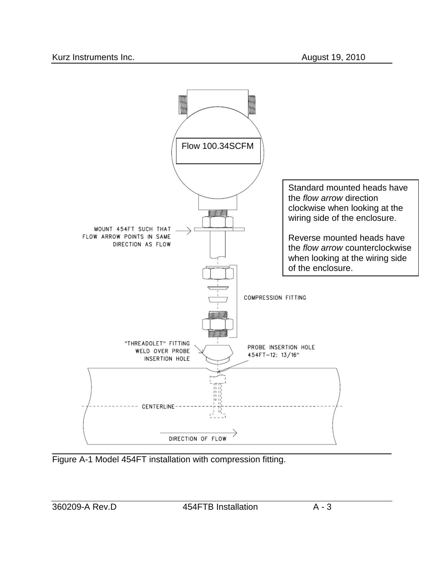

Figure A-1 Model 454FT installation with compression fitting.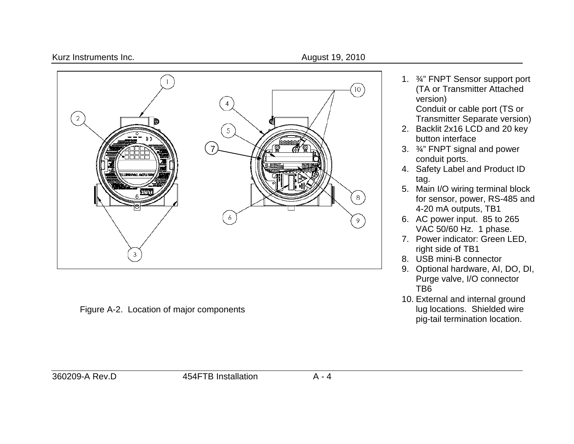#### Kurz Instruments Inc. **August 19, 2010**



Figure A-2. Location of major components

1. ¾" FNPT Sensor support port (TA or Transmitter Attached version)

Conduit or cable port (TS or Transmitter Separate version)

- 2. Backlit 2x16 LCD and 20 key button interface
- 3. ¾" FNPT signal and power conduit ports.
- 4. Safety Label and Product ID tag.
- 5. Main I/O wiring terminal block for sensor, power, RS-485 and 4-20 mA outputs, TB1
- 6. AC power input. 85 to 265 VAC 50/60 Hz. 1 phase.
- 7. Power indicator: Green LED, right side of TB1
- 8. USB mini-B connector
- 9. Optional hardware, AI, DO, DI, Purge valve, I/O connector TB6
- 10. External and internal ground lug locations. Shielded wire pig-tail termination location.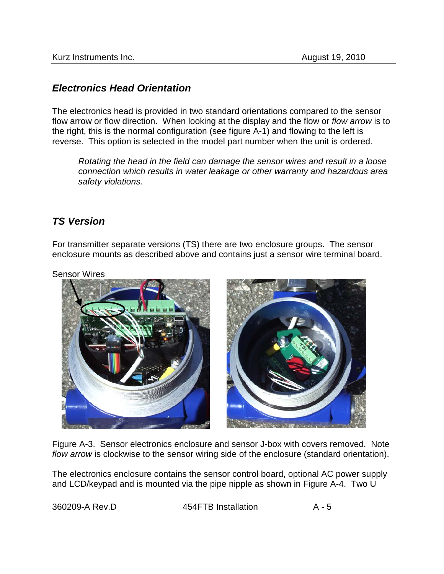## *Electronics Head Orientation*

The electronics head is provided in two standard orientations compared to the sensor flow arrow or flow direction. When looking at the display and the flow or *flow arrow* is to the right, this is the normal configuration (see figure A-1) and flowing to the left is reverse. This option is selected in the model part number when the unit is ordered.

*Rotating the head in the field can damage the sensor wires and result in a loose connection which results in water leakage or other warranty and hazardous area safety violations.* 

## *TS Version*

For transmitter separate versions (TS) there are two enclosure groups. The sensor enclosure mounts as described above and contains just a sensor wire terminal board.

Sensor Wires



Figure A-3. Sensor electronics enclosure and sensor J-box with covers removed. Note *flow arrow* is clockwise to the sensor wiring side of the enclosure (standard orientation).

The electronics enclosure contains the sensor control board, optional AC power supply and LCD/keypad and is mounted via the pipe nipple as shown in Figure A-4. Two U

360209-A Rev.D 454FTB Installation A - 5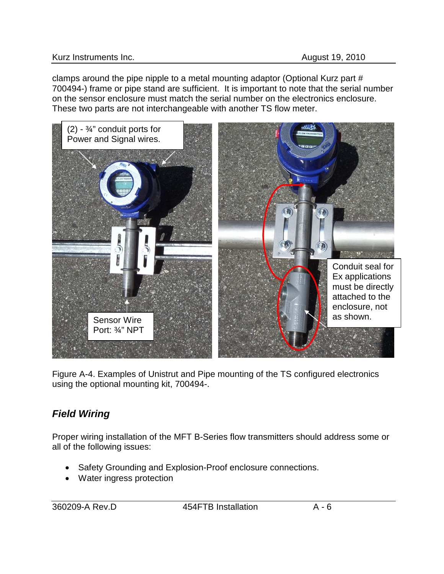clamps around the pipe nipple to a metal mounting adaptor (Optional Kurz part # 700494-) frame or pipe stand are sufficient. It is important to note that the serial number on the sensor enclosure must match the serial number on the electronics enclosure. These two parts are not interchangeable with another TS flow meter.



Figure A-4. Examples of Unistrut and Pipe mounting of the TS configured electronics using the optional mounting kit, 700494-.

# *Field Wiring*

Proper wiring installation of the MFT B-Series flow transmitters should address some or all of the following issues:

- Safety Grounding and Explosion-Proof enclosure connections.
- Water ingress protection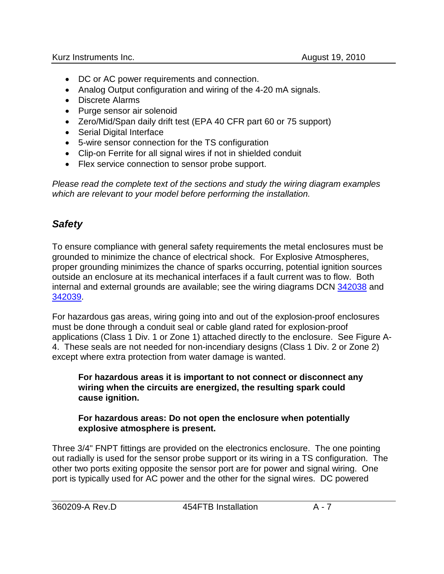- DC or AC power requirements and connection.
- Analog Output configuration and wiring of the 4-20 mA signals.
- Discrete Alarms
- Purge sensor air solenoid
- Zero/Mid/Span daily drift test (EPA 40 CFR part 60 or 75 support)
- Serial Digital Interface
- 5-wire sensor connection for the TS configuration
- Clip-on Ferrite for all signal wires if not in shielded conduit
- Flex service connection to sensor probe support.

*Please read the complete text of the sections and study the wiring diagram examples which are relevant to your model before performing the installation.*

# *Safety*

To ensure compliance with general safety requirements the metal enclosures must be grounded to minimize the chance of electrical shock. For Explosive Atmospheres, proper grounding minimizes the chance of sparks occurring, potential ignition sources outside an enclosure at its mechanical interfaces if a fault current was to flow. Both internal and external grounds are available; see the wiring diagrams DCN 342038 and 342039.

For hazardous gas areas, wiring going into and out of the explosion-proof enclosures must be done through a conduit seal or cable gland rated for explosion-proof applications (Class 1 Div. 1 or Zone 1) attached directly to the enclosure. See Figure A-4. These seals are not needed for non-incendiary designs (Class 1 Div. 2 or Zone 2) except where extra protection from water damage is wanted.

**For hazardous areas it is important to not connect or disconnect any wiring when the circuits are energized, the resulting spark could cause ignition.**

#### **For hazardous areas: Do not open the enclosure when potentially explosive atmosphere is present.**

Three 3/4" FNPT fittings are provided on the electronics enclosure. The one pointing out radially is used for the sensor probe support or its wiring in a TS configuration. The other two ports exiting opposite the sensor port are for power and signal wiring. One port is typically used for AC power and the other for the signal wires. DC powered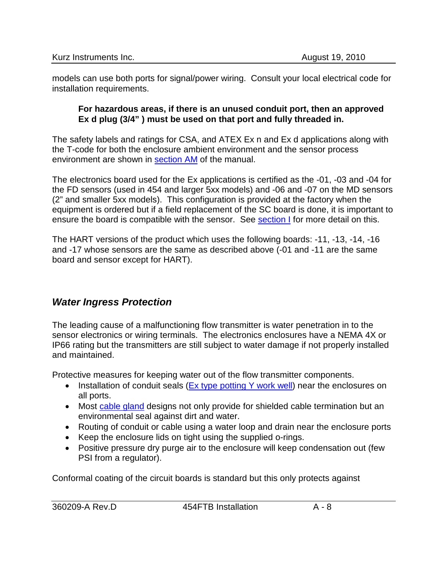models can use both ports for signal/power wiring. Consult your local electrical code for installation requirements.

#### **For hazardous areas, if there is an unused conduit port, then an approved Ex d plug (3/4" ) must be used on that port and fully threaded in.**

The safety labels and ratings for CSA, and ATEX Ex n and Ex d applications along with the T-code for both the enclosure ambient environment and the sensor process environment are shown in section AM of the manual.

The electronics board used for the Ex applications is certified as the -01, -03 and -04 for the FD sensors (used in 454 and larger 5xx models) and -06 and -07 on the MD sensors (2" and smaller 5xx models). This configuration is provided at the factory when the equipment is ordered but if a field replacement of the SC board is done, it is important to ensure the board is compatible with the sensor. See section I for more detail on this.

The HART versions of the product which uses the following boards: -11, -13, -14, -16 and -17 whose sensors are the same as described above (-01 and -11 are the same board and sensor except for HART).

# *Water Ingress Protection*

The leading cause of a malfunctioning flow transmitter is water penetration in to the sensor electronics or wiring terminals. The electronics enclosures have a NEMA 4X or IP66 rating but the transmitters are still subject to water damage if not properly installed and maintained.

Protective measures for keeping water out of the flow transmitter components.

- Installation of conduit seals (Ex type potting Y work well) near the enclosures on all ports.
- Most cable gland designs not only provide for shielded cable termination but an environmental seal against dirt and water.
- Routing of conduit or cable using a water loop and drain near the enclosure ports
- Keep the enclosure lids on tight using the supplied o-rings.
- Positive pressure dry purge air to the enclosure will keep condensation out (few PSI from a regulator).

Conformal coating of the circuit boards is standard but this only protects against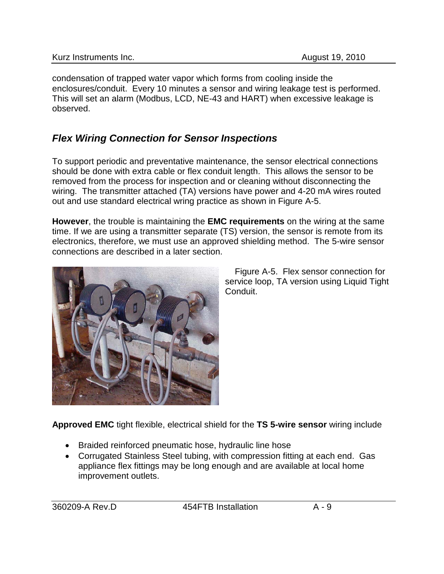condensation of trapped water vapor which forms from cooling inside the enclosures/conduit. Every 10 minutes a sensor and wiring leakage test is performed. This will set an alarm (Modbus, LCD, NE-43 and HART) when excessive leakage is observed.

# <span id="page-8-0"></span>*Flex Wiring Connection for Sensor Inspections*

To support periodic and preventative maintenance, the sensor electrical connections should be done with extra cable or flex conduit length. This allows the sensor to be removed from the process for inspection and or cleaning without disconnecting the wiring. The transmitter attached (TA) versions have power and 4-20 mA wires routed out and use standard electrical wring practice as shown in Figure A-5.

**However**, the trouble is maintaining the **EMC requirements** on the wiring at the same time. If we are using a transmitter separate (TS) version, the sensor is remote from its electronics, therefore, we must use an approved shielding method. The 5-wire sensor connections are described in a later section.



 Figure A-5. Flex sensor connection for service loop, TA version using Liquid Tight Conduit.

**Approved EMC** tight flexible, electrical shield for the **TS 5-wire sensor** wiring include

- Braided reinforced pneumatic hose, hydraulic line hose
- Corrugated Stainless Steel tubing, with compression fitting at each end. Gas appliance flex fittings may be long enough and are available at local home improvement outlets.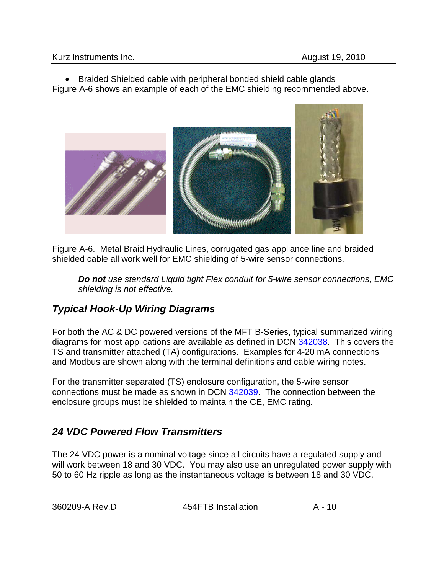• Braided Shielded cable with peripheral bonded shield cable glands Figure A-6 shows an example of each of the EMC shielding recommended above.



Figure A-6. Metal Braid Hydraulic Lines, corrugated gas appliance line and braided shielded cable all work well for EMC shielding of 5-wire sensor connections.

*Do not use standard Liquid tight Flex conduit for 5-wire sensor connections, EMC shielding is not effective.*

# *Typical Hook-Up Wiring Diagrams*

For both the AC & DC powered versions of the MFT B-Series, typical summarized wiring diagrams for most applications are available as defined in DCN 342038. This covers the TS and transmitter attached (TA) configurations. Examples for 4-20 mA connections and Modbus are shown along with the terminal definitions and cable wiring notes.

For the transmitter separated (TS) enclosure configuration, the 5-wire sensor connections must be made as shown in DCN 342039. The connection between the enclosure groups must be shielded to maintain the CE, EMC rating.

# *24 VDC Powered Flow Transmitters*

The 24 VDC power is a nominal voltage since all circuits have a regulated supply and will work between 18 and 30 VDC. You may also use an unregulated power supply with 50 to 60 Hz ripple as long as the instantaneous voltage is between 18 and 30 VDC.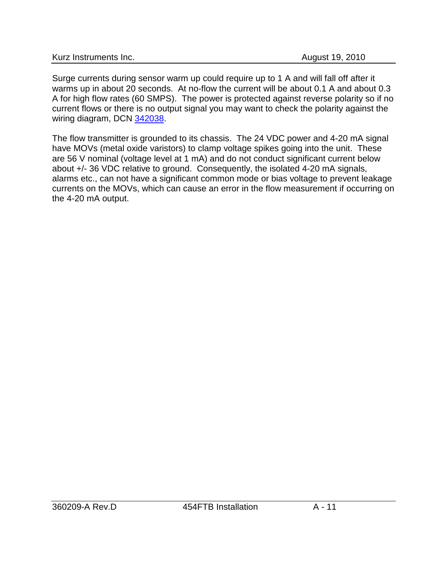Surge currents during sensor warm up could require up to 1 A and will fall off after it warms up in about 20 seconds. At no-flow the current will be about 0.1 A and about 0.3 A for high flow rates (60 SMPS). The power is protected against reverse polarity so if no current flows or there is no output signal you may want to check the polarity against the wiring diagram, DCN 342038.

The flow transmitter is grounded to its chassis. The 24 VDC power and 4-20 mA signal have MOVs (metal oxide varistors) to clamp voltage spikes going into the unit. These are 56 V nominal (voltage level at 1 mA) and do not conduct significant current below about +/- 36 VDC relative to ground. Consequently, the isolated 4-20 mA signals, alarms etc., can not have a significant common mode or bias voltage to prevent leakage currents on the MOVs, which can cause an error in the flow measurement if occurring on the 4-20 mA output.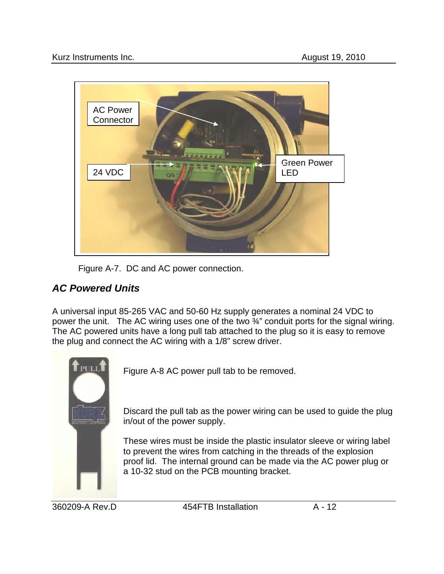

Figure A-7. DC and AC power connection.

# *AC Powered Units*

A universal input 85-265 VAC and 50-60 Hz supply generates a nominal 24 VDC to power the unit. The AC wiring uses one of the two ¾" conduit ports for the signal wiring. The AC powered units have a long pull tab attached to the plug so it is easy to remove the plug and connect the AC wiring with a 1/8" screw driver.



Figure A-8 AC power pull tab to be removed.

Discard the pull tab as the power wiring can be used to guide the plug in/out of the power supply.

These wires must be inside the plastic insulator sleeve or wiring label to prevent the wires from catching in the threads of the explosion proof lid. The internal ground can be made via the AC power plug or a 10-32 stud on the PCB mounting bracket.

360209-A Rev.D 454FTB Installation A - 12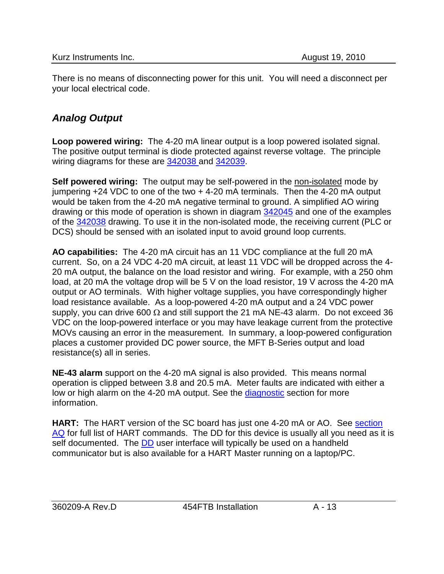There is no means of disconnecting power for this unit. You will need a disconnect per your local electrical code.

# *Analog Output*

**Loop powered wiring:** The 4-20 mA linear output is a loop powered isolated signal. The positive output terminal is diode protected against reverse voltage. The principle wiring diagrams for these are 342038 and 342039.

**Self powered wiring:** The output may be self-powered in the non-isolated mode by jumpering +24 VDC to one of the two + 4-20 mA terminals. Then the 4-20 mA output would be taken from the 4-20 mA negative terminal to ground. A simplified AO wiring drawing or this mode of operation is shown in diagram 342045 and one of the examples of the 342038 drawing. To use it in the non-isolated mode, the receiving current (PLC or DCS) should be sensed with an isolated input to avoid ground loop currents.

**AO capabilities:** The 4-20 mA circuit has an 11 VDC compliance at the full 20 mA current. So, on a 24 VDC 4-20 mA circuit, at least 11 VDC will be dropped across the 4- 20 mA output, the balance on the load resistor and wiring. For example, with a 250 ohm load, at 20 mA the voltage drop will be 5 V on the load resistor, 19 V across the 4-20 mA output or AO terminals. With higher voltage supplies, you have correspondingly higher load resistance available. As a loop-powered 4-20 mA output and a 24 VDC power supply, you can drive 600  $\Omega$  and still support the 21 mA NE-43 alarm. Do not exceed 36 VDC on the loop-powered interface or you may have leakage current from the protective MOVs causing an error in the measurement. In summary, a loop-powered configuration places a customer provided DC power source, the MFT B-Series output and load resistance(s) all in series.

**NE-43 alarm** support on the 4-20 mA signal is also provided. This means normal operation is clipped between 3.8 and 20.5 mA. Meter faults are indicated with either a low or high alarm on the 4-20 mA output. See the diagnostic section for more information.

**HART:** The HART version of the SC board has just one 4-20 mA or AO. See section AQ for full list of HART commands. The DD for this device is usually all you need as it is self documented. The **DD** user interface will typically be used on a handheld communicator but is also available for a HART Master running on a laptop/PC.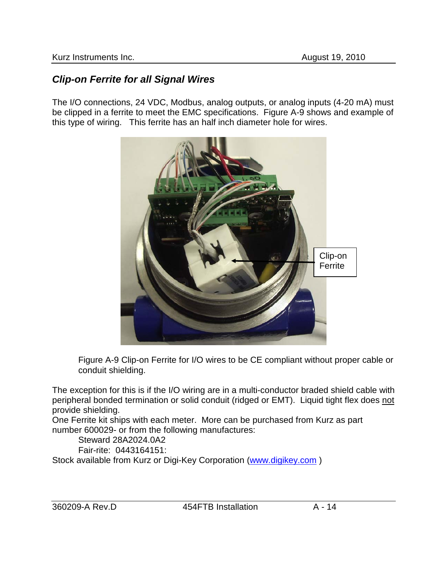## *Clip-on Ferrite for all Signal Wires*

The I/O connections, 24 VDC, Modbus, analog outputs, or analog inputs (4-20 mA) must be clipped in a ferrite to meet the EMC specifications. Figure A-9 shows and example of this type of wiring. This ferrite has an half inch diameter hole for wires.



Figure A-9 Clip-on Ferrite for I/O wires to be CE compliant without proper cable or conduit shielding.

The exception for this is if the I/O wiring are in a multi-conductor braded shield cable with peripheral bonded termination or solid conduit (ridged or EMT). Liquid tight flex does not provide shielding.

One Ferrite kit ships with each meter. More can be purchased from Kurz as part number 600029- or from the following manufactures:

Steward 28A2024.0A2

Fair-rite: 0443164151:

Stock available from Kurz or Digi-Key Corporation [\(www.digikey.com](http://www.digikey.com/))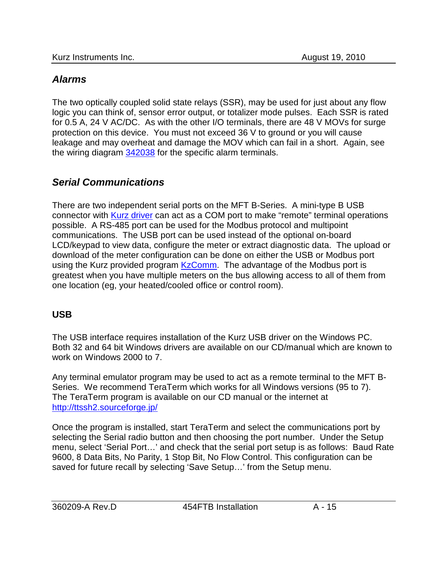## *Alarms*

The two optically coupled solid state relays (SSR), may be used for just about any flow logic you can think of, sensor error output, or totalizer mode pulses. Each SSR is rated for 0.5 A, 24 V AC/DC. As with the other I/O terminals, there are 48 V MOVs for surge protection on this device. You must not exceed 36 V to ground or you will cause leakage and may overheat and damage the MOV which can fail in a short. Again, see the wiring diagram 342038 for the specific alarm terminals.

# *Serial Communications*

There are two independent serial ports on the MFT B-Series. A mini-type B USB connector with Kurz driver can act as a COM port to make "remote" terminal operations possible. A RS-485 port can be used for the Modbus protocol and multipoint communications. The USB port can be used instead of the optional on-board LCD/keypad to view data, configure the meter or extract diagnostic data. The upload or download of the meter configuration can be done on either the USB or Modbus port using the Kurz provided program KzComm. The advantage of the Modbus port is greatest when you have multiple meters on the bus allowing access to all of them from one location (eg, your heated/cooled office or control room).

## **USB**

The USB interface requires installation of the Kurz USB driver on the Windows PC. Both 32 and 64 bit Windows drivers are available on our CD/manual which are known to work on Windows 2000 to 7.

Any terminal emulator program may be used to act as a remote terminal to the MFT B-Series. We recommend TeraTerm which works for all Windows versions (95 to 7). The TeraTerm program is available on our CD manual or the internet at <http://ttssh2.sourceforge.jp/>

Once the program is installed, start TeraTerm and select the communications port by selecting the Serial radio button and then choosing the port number. Under the Setup menu, select 'Serial Port…' and check that the serial port setup is as follows: Baud Rate 9600, 8 Data Bits, No Parity, 1 Stop Bit, No Flow Control. This configuration can be saved for future recall by selecting 'Save Setup…' from the Setup menu.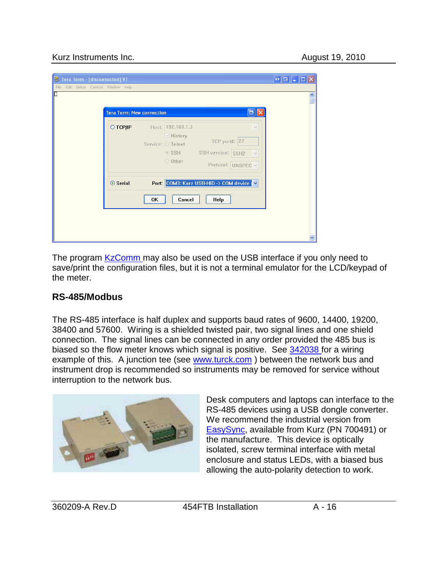#### Kurz Instruments Inc. **August 19, 2010 August 19, 2010**

| Tera Term - [disconnected] VT                                          |                                                                                                                                                                                                                                                                                                                      | $\left[ \begin{matrix} 0 \\ \mathbf{0} \end{matrix} \right] = \left[ \begin{matrix} 1 \\ - \end{matrix} \right] \left[ \begin{matrix} 1 \\ 0 \end{matrix} \right]$ |
|------------------------------------------------------------------------|----------------------------------------------------------------------------------------------------------------------------------------------------------------------------------------------------------------------------------------------------------------------------------------------------------------------|--------------------------------------------------------------------------------------------------------------------------------------------------------------------|
| File Edit Setup Control Window Help<br>П<br>○ ТСР∕ІР<br>$\odot$ Serial | $\boxminus$ $\times$<br><b>Tera Term: New connection</b><br>Host: 192.168.1.3<br>$\checkmark$<br>$\triangleright$ History<br><b>TCP port#: 22</b><br>Service: O Telnet<br>SSH SSH version: SSH2<br>$\bigcirc$ Other<br>Protocol: UNSPEC v<br>Port: COM3: Kurz USB-HID -> COM device V<br>Cancel<br><b>Help</b><br>0K | $\frac{\lambda}{\Box}$                                                                                                                                             |
|                                                                        |                                                                                                                                                                                                                                                                                                                      |                                                                                                                                                                    |

The program KzComm may also be used on the USB interface if you only need to save/print the configuration files, but it is not a terminal emulator for the LCD/keypad of the meter.

## **RS-485/Modbus**

The RS-485 interface is half duplex and supports baud rates of 9600, 14400, 19200, 38400 and 57600. Wiring is a shielded twisted pair, two signal lines and one shield connection. The signal lines can be connected in any order provided the 485 bus is biased so the flow meter knows which signal is positive. See 342038 for a wiring example of this. A junction tee (see [www.turck.com](http://www.turck.com/) ) between the network bus and instrument drop is recommended so instruments may be removed for service without interruption to the network bus.



Desk computers and laptops can interface to the RS-485 devices using a USB dongle converter. We recommend the industrial version from [EasySync,](http://www.easysync.co.uk/) available from Kurz (PN 700491) or the manufacture. This device is optically isolated, screw terminal interface with metal enclosure and status LEDs, with a biased bus allowing the auto-polarity detection to work.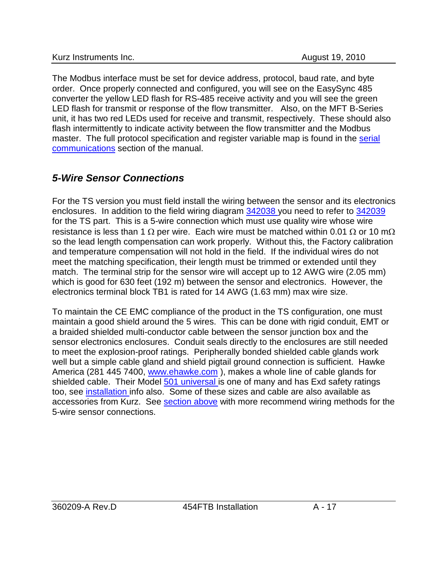The Modbus interface must be set for device address, protocol, baud rate, and byte order. Once properly connected and configured, you will see on the EasySync 485 converter the yellow LED flash for RS-485 receive activity and you will see the green LED flash for transmit or response of the flow transmitter. Also, on the MFT B-Series unit, it has two red LEDs used for receive and transmit, respectively. These should also flash intermittently to indicate activity between the flow transmitter and the Modbus master. The full protocol specification and register variable map is found in the serial communications section of the manual.

# *5-Wire Sensor Connections*

For the TS version you must field install the wiring between the sensor and its electronics enclosures. In addition to the field wiring diagram 342038 you need to refer to 342039 for the TS part. This is a 5-wire connection which must use quality wire whose wire resistance is less than 1  $\Omega$  per wire. Each wire must be matched within 0.01  $\Omega$  or 10 m $\Omega$ so the lead length compensation can work properly. Without this, the Factory calibration and temperature compensation will not hold in the field. If the individual wires do not meet the matching specification, their length must be trimmed or extended until they match. The terminal strip for the sensor wire will accept up to 12 AWG wire (2.05 mm) which is good for 630 feet (192 m) between the sensor and electronics. However, the electronics terminal block TB1 is rated for 14 AWG (1.63 mm) max wire size.

To maintain the CE EMC compliance of the product in the TS configuration, one must maintain a good shield around the 5 wires. This can be done with rigid conduit, EMT or a braided shielded multi-conductor cable between the sensor junction box and the sensor electronics enclosures. Conduit seals directly to the enclosures are still needed to meet the explosion-proof ratings. Peripherally bonded shielded cable glands work well but a simple cable gland and shield pigtail ground connection is sufficient. Hawke America (281 445 7400, [www.ehawke.com](http://www.ehawke.com/) ), makes a whole line of cable glands for shielded cable. Their Model 501 universal is one of many and has Exd safety ratings too, see installation info also. Some of these sizes and cable are also available as accessories from Kurz. See [section above](#page-8-0) with more recommend wiring methods for the 5-wire sensor connections.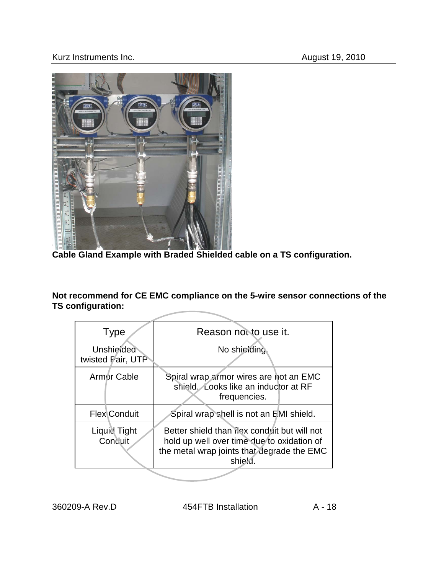#### Kurz Instruments Inc. **August 19, 2010**



**Cable Gland Example with Braded Shielded cable on a TS configuration.**

**Not recommend for CE EMC compliance on the 5-wire sensor connections of the TS configuration:**

| <b>Type</b>                                                                                                                                                                    | Reason not to use it.                                                                          |  |
|--------------------------------------------------------------------------------------------------------------------------------------------------------------------------------|------------------------------------------------------------------------------------------------|--|
| Unshielded<br>twisted Pair, UTP                                                                                                                                                | No shieiding                                                                                   |  |
| Armor Cable                                                                                                                                                                    | Spiral wrap armor wires are not an EMC<br>shield. Looks like an inductor at RF<br>frequencies. |  |
| <b>Flex Conduit</b>                                                                                                                                                            | Spiral wrap shell is not an EMI shield.                                                        |  |
| Liquid Tight<br>Better shield than ilex conduit but will not<br>Conduit<br>hold up well over time due to oxidation of<br>the metal wrap joints that degrade the EMC<br>shield. |                                                                                                |  |
|                                                                                                                                                                                |                                                                                                |  |